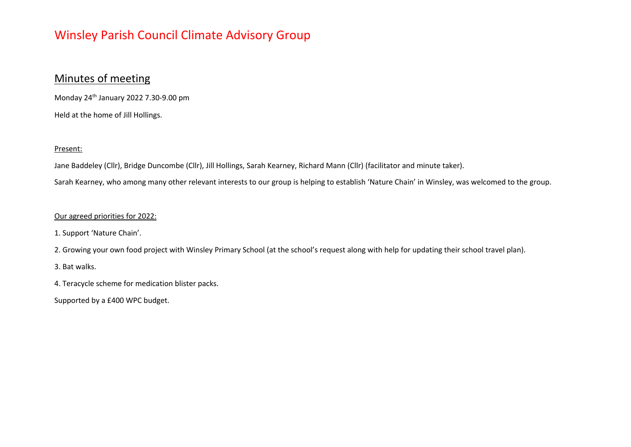### Minutes of meeting

Monday 24th January 2022 7.30-9.00 pm Held at the home of Jill Hollings.

### Present:

Jane Baddeley (Cllr), Bridge Duncombe (Cllr), Jill Hollings, Sarah Kearney, Richard Mann (Cllr) (facilitator and minute taker).

Sarah Kearney, who among many other relevant interests to our group is helping to establish 'Nature Chain' in Winsley, was welcomed to the group.

#### Our agreed priorities for 2022:

1. Support 'Nature Chain'.

2. Growing your own food project with Winsley Primary School (at the school's request along with help for updating their school travel plan).

3. Bat walks.

4. Teracycle scheme for medication blister packs.

Supported by a £400 WPC budget.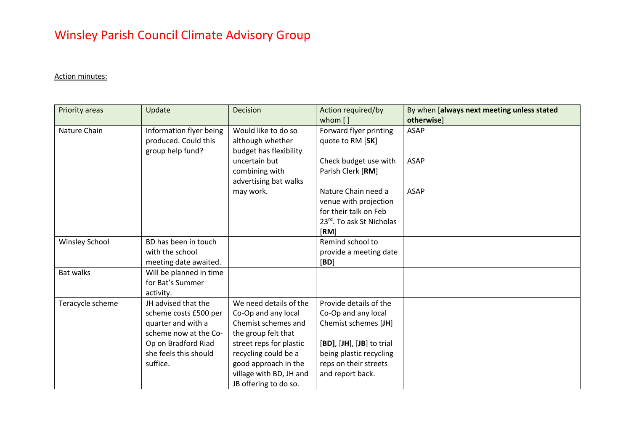### Action minutes:

| Priority areas        | Update                                                              | Decision                                                          | Action required/by                                    | By when [always next meeting unless stated |
|-----------------------|---------------------------------------------------------------------|-------------------------------------------------------------------|-------------------------------------------------------|--------------------------------------------|
| Nature Chain          | Information flyer being<br>produced. Could this<br>group help fund? | Would like to do so<br>although whether<br>budget has flexibility | whom []<br>Forward flyer printing<br>quote to RM [SK] | otherwise]<br><b>ASAP</b>                  |
|                       |                                                                     | uncertain but<br>combining with<br>advertising bat walks          | Check budget use with<br>Parish Clerk [RM]            | <b>ASAP</b>                                |
|                       |                                                                     | may work.                                                         | Nature Chain need a<br>venue with projection          | <b>ASAP</b>                                |
|                       |                                                                     |                                                                   | for their talk on Feb<br>23rd. To ask St Nicholas     |                                            |
|                       |                                                                     |                                                                   | $\sqrt{RM}$                                           |                                            |
| <b>Winsley School</b> | BD has been in touch<br>with the school<br>meeting date awaited.    |                                                                   | Remind school to<br>provide a meeting date<br>[BD]    |                                            |
| <b>Bat walks</b>      | Will be planned in time<br>for Bat's Summer<br>activity.            |                                                                   |                                                       |                                            |
| Teracycle scheme      | JH advised that the                                                 | We need details of the                                            | Provide details of the                                |                                            |
|                       | scheme costs £500 per                                               | Co-Op and any local                                               | Co-Op and any local                                   |                                            |
|                       | quarter and with a                                                  | Chemist schemes and                                               | Chemist schemes [JH]                                  |                                            |
|                       | scheme now at the Co-                                               | the group felt that                                               |                                                       |                                            |
|                       | Op on Bradford Riad<br>she feels this should                        | street reps for plastic                                           | [BD], [JH], [JB] to trial                             |                                            |
|                       | suffice.                                                            | recycling could be a<br>good approach in the                      | being plastic recycling<br>reps on their streets      |                                            |
|                       |                                                                     | village with BD, JH and                                           | and report back.                                      |                                            |
|                       |                                                                     | JB offering to do so.                                             |                                                       |                                            |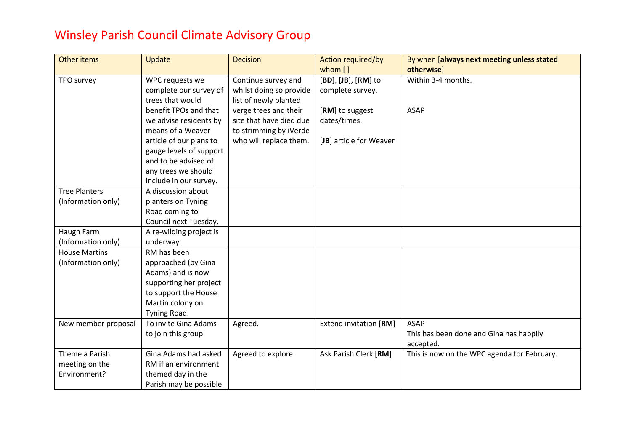| Other items          | Update                  | <b>Decision</b>         | <b>Action required/by</b><br>whom [] | By when [always next meeting unless stated<br>otherwise] |
|----------------------|-------------------------|-------------------------|--------------------------------------|----------------------------------------------------------|
| TPO survey           | WPC requests we         | Continue survey and     | [BD], [JB], [RM] to                  | Within 3-4 months.                                       |
|                      | complete our survey of  | whilst doing so provide | complete survey.                     |                                                          |
|                      | trees that would        | list of newly planted   |                                      |                                                          |
|                      | benefit TPOs and that   | verge trees and their   | [RM] to suggest                      | <b>ASAP</b>                                              |
|                      | we advise residents by  | site that have died due | dates/times.                         |                                                          |
|                      | means of a Weaver       | to strimming by iVerde  |                                      |                                                          |
|                      | article of our plans to | who will replace them.  | [JB] article for Weaver              |                                                          |
|                      | gauge levels of support |                         |                                      |                                                          |
|                      | and to be advised of    |                         |                                      |                                                          |
|                      | any trees we should     |                         |                                      |                                                          |
|                      | include in our survey.  |                         |                                      |                                                          |
| <b>Tree Planters</b> | A discussion about      |                         |                                      |                                                          |
| (Information only)   | planters on Tyning      |                         |                                      |                                                          |
|                      | Road coming to          |                         |                                      |                                                          |
|                      | Council next Tuesday.   |                         |                                      |                                                          |
| Haugh Farm           | A re-wilding project is |                         |                                      |                                                          |
| (Information only)   | underway.               |                         |                                      |                                                          |
| <b>House Martins</b> | RM has been             |                         |                                      |                                                          |
| (Information only)   | approached (by Gina     |                         |                                      |                                                          |
|                      | Adams) and is now       |                         |                                      |                                                          |
|                      | supporting her project  |                         |                                      |                                                          |
|                      | to support the House    |                         |                                      |                                                          |
|                      | Martin colony on        |                         |                                      |                                                          |
|                      | Tyning Road.            |                         |                                      |                                                          |
| New member proposal  | To invite Gina Adams    | Agreed.                 | <b>Extend invitation [RM]</b>        | <b>ASAP</b>                                              |
|                      | to join this group      |                         |                                      | This has been done and Gina has happily                  |
|                      |                         |                         |                                      | accepted.                                                |
| Theme a Parish       | Gina Adams had asked    | Agreed to explore.      | Ask Parish Clerk [RM]                | This is now on the WPC agenda for February.              |
| meeting on the       | RM if an environment    |                         |                                      |                                                          |
| Environment?         | themed day in the       |                         |                                      |                                                          |
|                      | Parish may be possible. |                         |                                      |                                                          |